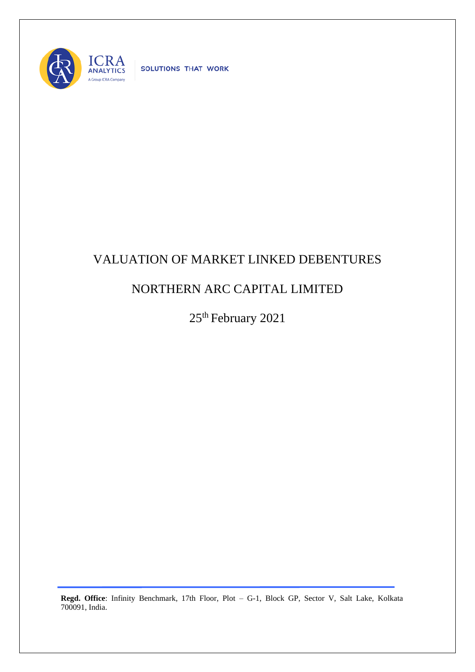

SOLUTIONS THAT WORK

## VALUATION OF MARKET LINKED DEBENTURES

## NORTHERN ARC CAPITAL LIMITED

25<sup>th</sup> February 2021

**Regd. Office**: Infinity Benchmark, 17th Floor, Plot – G-1, Block GP, Sector V, Salt Lake, Kolkata 700091, India.